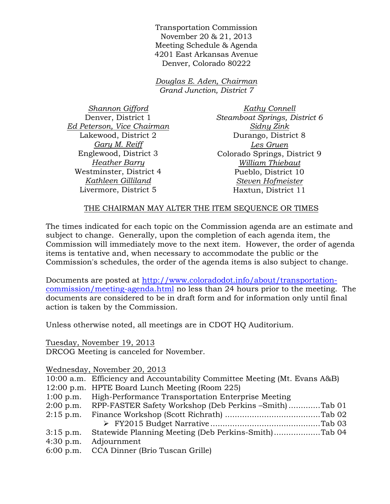Transportation Commission November 20 & 21, 2013 Meeting Schedule & Agenda 4201 East Arkansas Avenue Denver, Colorado 80222

*Douglas E. Aden, Chairman Grand Junction, District 7* 

*Shannon Gifford*  Denver, District 1 *Ed Peterson, Vice Chairman*  Lakewood, District 2 *Gary M. Reiff* Englewood, District 3 *Heather Barry*  Westminster, District 4 *Kathleen Gilliland*  Livermore, District 5

*Kathy Connell Steamboat Springs, District 6 Sidny Zink*  Durango, District 8 *Les Gruen*  Colorado Springs, District 9 *William Thiebaut*  Pueblo, District 10 *Steven Hofmeister*  Haxtun, District 11

## THE CHAIRMAN MAY ALTER THE ITEM SEQUENCE OR TIMES

The times indicated for each topic on the Commission agenda are an estimate and subject to change. Generally, upon the completion of each agenda item, the Commission will immediately move to the next item. However, the order of agenda items is tentative and, when necessary to accommodate the public or the Commission's schedules, the order of the agenda items is also subject to change.

Documents are posted at http://www.coloradodot.info/about/transportationcommission/meeting-agenda.html no less than 24 hours prior to the meeting. The documents are considered to be in draft form and for information only until final action is taken by the Commission.

Unless otherwise noted, all meetings are in CDOT HQ Auditorium.

Tuesday, November 19, 2013

DRCOG Meeting is canceled for November.

Wednesday, November 20, 2013

|             | 10:00 a.m. Efficiency and Accountability Committee Meeting (Mt. Evans A&B) |
|-------------|----------------------------------------------------------------------------|
|             | 12:00 p.m. HPTE Board Lunch Meeting (Room 225)                             |
| $1:00$ p.m. | High-Performance Transportation Enterprise Meeting                         |
| $2:00$ p.m. | RPP-FASTER Safety Workshop (Deb Perkins -Smith)Tab 01                      |
| $2:15$ p.m. |                                                                            |
|             |                                                                            |
| $3:15$ p.m. |                                                                            |
| $4:30$ p.m. | Adjournment                                                                |
| $6:00$ p.m. | CCA Dinner (Brio Tuscan Grille)                                            |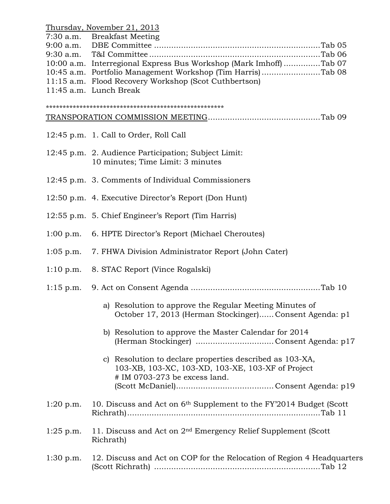|             | Thursday, November 21, 2013                                                    |
|-------------|--------------------------------------------------------------------------------|
|             | 7:30 a.m. Breakfast Meeting                                                    |
|             |                                                                                |
|             |                                                                                |
|             | 10:00 a.m. Interregional Express Bus Workshop (Mark Imhoff) Tab 07             |
|             |                                                                                |
|             | 10:45 a.m. Portfolio Management Workshop (Tim Harris)Tab 08                    |
|             | 11:15 a.m. Flood Recovery Workshop (Scot Cuthbertson)                          |
|             | 11:45 a.m. Lunch Break                                                         |
|             |                                                                                |
|             |                                                                                |
|             |                                                                                |
|             |                                                                                |
|             |                                                                                |
|             | 12:45 p.m. 1. Call to Order, Roll Call                                         |
|             |                                                                                |
|             | 12:45 p.m. 2. Audience Participation; Subject Limit:                           |
|             | 10 minutes; Time Limit: 3 minutes                                              |
|             |                                                                                |
|             |                                                                                |
|             | 12:45 p.m. 3. Comments of Individual Commissioners                             |
|             |                                                                                |
|             | 12:50 p.m. 4. Executive Director's Report (Don Hunt)                           |
|             |                                                                                |
|             | 12:55 p.m. 5. Chief Engineer's Report (Tim Harris)                             |
|             |                                                                                |
|             | 1:00 p.m. 6. HPTE Director's Report (Michael Cheroutes)                        |
|             |                                                                                |
|             |                                                                                |
|             | 1:05 p.m. 7. FHWA Division Administrator Report (John Cater)                   |
|             |                                                                                |
|             | 1:10 p.m. 8. STAC Report (Vince Rogalski)                                      |
|             |                                                                                |
|             |                                                                                |
|             |                                                                                |
|             |                                                                                |
|             | a) Resolution to approve the Regular Meeting Minutes of                        |
|             | October 17, 2013 (Herman Stockinger) Consent Agenda: p1                        |
|             |                                                                                |
|             | b) Resolution to approve the Master Calendar for 2014                          |
|             |                                                                                |
|             |                                                                                |
|             | c) Resolution to declare properties described as 103-XA,                       |
|             |                                                                                |
|             | 103-XB, 103-XC, 103-XD, 103-XE, 103-XF of Project                              |
|             | # IM 0703-273 be excess land.                                                  |
|             |                                                                                |
|             |                                                                                |
| $1:20$ p.m. | 10. Discuss and Act on 6 <sup>th</sup> Supplement to the FY'2014 Budget (Scott |
|             |                                                                                |
|             |                                                                                |
|             |                                                                                |
| $1:25$ p.m. | 11. Discuss and Act on 2 <sup>nd</sup> Emergency Relief Supplement (Scott      |
|             | Richrath)                                                                      |
|             |                                                                                |
| $1:30$ p.m. | 12. Discuss and Act on COP for the Relocation of Region 4 Headquarters         |
|             |                                                                                |
|             |                                                                                |